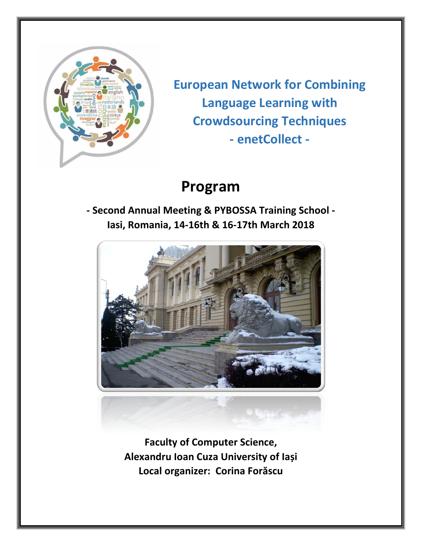

**European Network for Combining Language Learning with Crowdsourcing Techniques - enetCollect -**

# **Program**

# **- Second Annual Meeting & PYBOSSA Training School - Iasi, Romania, 14-16th & 16-17th March 2018**



**Faculty of Computer Science, Alexandru Ioan Cuza University of Iași Local organizer: Corina Forăscu**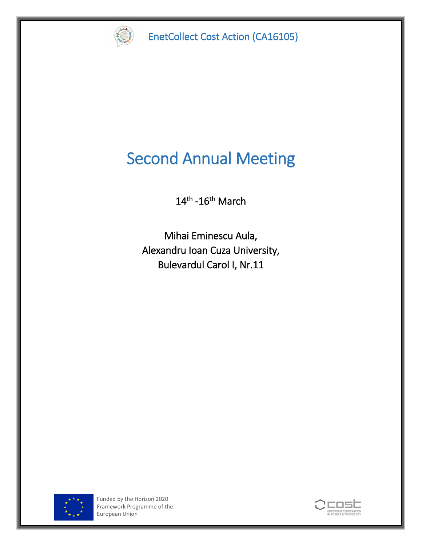

# Second Annual Meeting

 $14<sup>th</sup> - 16<sup>th</sup>$  March

Mihai Eminescu Aula, Alexandru Ioan Cuza University, Bulevardul Carol I, Nr.11



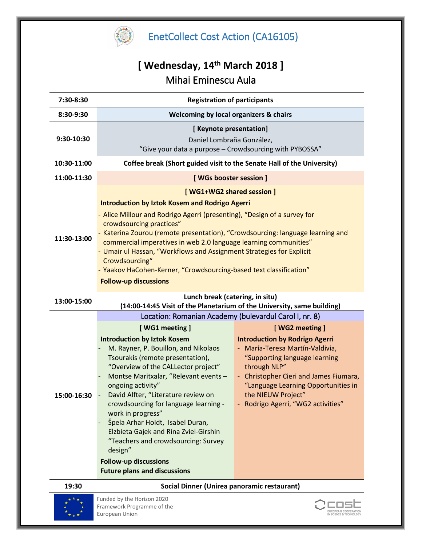

# **[ Wednesday, 14th March 2018 ]** Mihai Eminescu Aula

| 7:30-8:30   | <b>Registration of participants</b>                                                                                                                                                                                                                                                                                                                                                                                                                                                                                                               |                                                                                                                                                                                                                                                                                       |  |
|-------------|---------------------------------------------------------------------------------------------------------------------------------------------------------------------------------------------------------------------------------------------------------------------------------------------------------------------------------------------------------------------------------------------------------------------------------------------------------------------------------------------------------------------------------------------------|---------------------------------------------------------------------------------------------------------------------------------------------------------------------------------------------------------------------------------------------------------------------------------------|--|
| 8:30-9:30   | Welcoming by local organizers & chairs                                                                                                                                                                                                                                                                                                                                                                                                                                                                                                            |                                                                                                                                                                                                                                                                                       |  |
| 9:30-10:30  | [Keynote presentation]<br>Daniel Lombraña González,<br>"Give your data a purpose - Crowdsourcing with PYBOSSA"                                                                                                                                                                                                                                                                                                                                                                                                                                    |                                                                                                                                                                                                                                                                                       |  |
| 10:30-11:00 | Coffee break (Short guided visit to the Senate Hall of the University)                                                                                                                                                                                                                                                                                                                                                                                                                                                                            |                                                                                                                                                                                                                                                                                       |  |
| 11:00-11:30 | [ WGs booster session ]                                                                                                                                                                                                                                                                                                                                                                                                                                                                                                                           |                                                                                                                                                                                                                                                                                       |  |
| 11:30-13:00 | [ WG1+WG2 shared session ]<br><b>Introduction by Iztok Kosem and Rodrigo Agerri</b><br>- Alice Millour and Rodrigo Agerri (presenting), "Design of a survey for<br>crowdsourcing practices"<br>- Katerina Zourou (remote presentation), "Crowdsourcing: language learning and<br>commercial imperatives in web 2.0 language learning communities"<br>- Umair ul Hassan, "Workflows and Assignment Strategies for Explicit<br>Crowdsourcing"<br>- Yaakov HaCohen-Kerner, "Crowdsourcing-based text classification"<br><b>Follow-up discussions</b> |                                                                                                                                                                                                                                                                                       |  |
| 13:00-15:00 | Lunch break (catering, in situ)<br>(14:00-14:45 Visit of the Planetarium of the University, same building)                                                                                                                                                                                                                                                                                                                                                                                                                                        |                                                                                                                                                                                                                                                                                       |  |
|             | Location: Romanian Academy (bulevardul Carol I, nr. 8)                                                                                                                                                                                                                                                                                                                                                                                                                                                                                            |                                                                                                                                                                                                                                                                                       |  |
| 15:00-16:30 | [WG1 meeting]<br><b>Introduction by Iztok Kosem</b><br>M. Rayner, P. Bouillon, and Nikolaos<br>Tsourakis (remote presentation),<br>"Overview of the CALLector project"<br>Montse Maritxalar, "Relevant events -<br>ongoing activity"<br>David Alfter, "Literature review on<br>crowdsourcing for language learning -<br>work in progress"<br>Špela Arhar Holdt, Isabel Duran,<br>Elzbieta Gajek and Rina Zviel-Girshin<br>"Teachers and crowdsourcing: Survey<br>design"<br><b>Follow-up discussions</b><br><b>Future plans and discussions</b>   | [WG2 meeting]<br><b>Introduction by Rodrigo Agerri</b><br>- María-Teresa Martín-Valdivia,<br>"Supporting language learning<br>through NLP"<br>Christopher Cieri and James Fiumara,<br>"Language Learning Opportunities in<br>the NIEUW Project"<br>- Rodrigo Agerri, "WG2 activities" |  |
| 19:30       | Social Dinner (Unirea panoramic restaurant)                                                                                                                                                                                                                                                                                                                                                                                                                                                                                                       |                                                                                                                                                                                                                                                                                       |  |



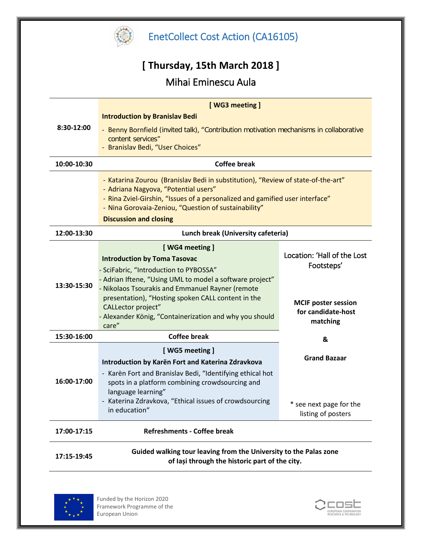

# **[ Thursday, 15th March 2018 ]**

## Mihai Eminescu Aula

|             | [WG3 meeting]                                                                                                                                                                                                                                                                                                                                                  |                                                                                                           |  |
|-------------|----------------------------------------------------------------------------------------------------------------------------------------------------------------------------------------------------------------------------------------------------------------------------------------------------------------------------------------------------------------|-----------------------------------------------------------------------------------------------------------|--|
|             | <b>Introduction by Branislav Bedi</b>                                                                                                                                                                                                                                                                                                                          |                                                                                                           |  |
| 8:30-12:00  | - Benny Bornfield (invited talk), "Contribution motivation mechanisms in collaborative<br>content services"<br>- Branislav Bedi, "User Choices"                                                                                                                                                                                                                |                                                                                                           |  |
| 10:00-10:30 | <b>Coffee break</b>                                                                                                                                                                                                                                                                                                                                            |                                                                                                           |  |
|             | - Katarina Zourou (Branislav Bedi in substitution), "Review of state-of-the-art"<br>- Adriana Nagyova, "Potential users"<br>- Rina Zviel-Girshin, "Issues of a personalized and gamified user interface"<br>- Nina Gorovaia-Zeniou, "Question of sustainability"<br><b>Discussion and closing</b>                                                              |                                                                                                           |  |
| 12:00-13:30 | Lunch break (University cafeteria)                                                                                                                                                                                                                                                                                                                             |                                                                                                           |  |
| 13:30-15:30 | [WG4 meeting]<br><b>Introduction by Toma Tasovac</b><br>- SciFabric, "Introduction to PYBOSSA"<br>- Adrian Iftene, "Using UML to model a software project"<br>- Nikolaos Tsourakis and Emmanuel Rayner (remote<br>presentation), "Hosting spoken CALL content in the<br>CALLector project"<br>- Alexander König, "Containerization and why you should<br>care" | Location: 'Hall of the Lost<br>Footsteps'<br><b>MCIF poster session</b><br>for candidate-host<br>matching |  |
| 15:30-16:00 | <b>Coffee break</b>                                                                                                                                                                                                                                                                                                                                            | &                                                                                                         |  |
| 16:00-17:00 | [WG5 meeting]<br>Introduction by Karën Fort and Katerina Zdravkova<br>- Karën Fort and Branislav Bedi, "Identifying ethical hot<br>spots in a platform combining crowdsourcing and<br>language learning"                                                                                                                                                       | <b>Grand Bazaar</b>                                                                                       |  |
|             | - Katerina Zdravkova, "Ethical issues of crowdsourcing<br>in education"                                                                                                                                                                                                                                                                                        | * see next page for the<br>listing of posters                                                             |  |
| 17:00-17:15 | <b>Refreshments - Coffee break</b>                                                                                                                                                                                                                                                                                                                             |                                                                                                           |  |
| 17:15-19:45 | Guided walking tour leaving from the University to the Palas zone<br>of lasi through the historic part of the city.                                                                                                                                                                                                                                            |                                                                                                           |  |



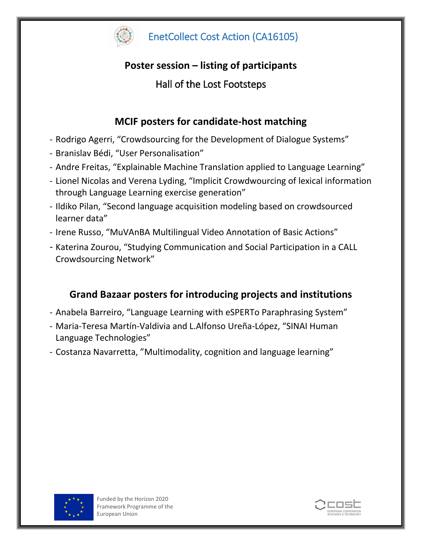

#### **Poster session – listing of participants**

#### Hall of the Lost Footsteps

#### **MCIF posters for candidate-host matching**

- Rodrigo Agerri, "Crowdsourcing for the Development of Dialogue Systems"
- Branislav Bédi, "User Personalisation"
- Andre Freitas, "Explainable Machine Translation applied to Language Learning"
- Lionel Nicolas and Verena Lyding, "Implicit Crowdwourcing of lexical information through Language Learning exercise generation"
- Ildiko Pilan, "Second language acquisition modeling based on crowdsourced learner data"
- Irene Russo, "MuVAnBA Multilingual Video Annotation of Basic Actions"
- Katerina Zourou, "Studying Communication and Social Participation in a CALL Crowdsourcing Network"

#### **Grand Bazaar posters for introducing projects and institutions**

- Anabela Barreiro, "Language Learning with eSPERTo Paraphrasing System"
- Maria-Teresa Martín-Valdivia and L.Alfonso Ureña-López, "SINAI Human Language Technologies"
- Costanza Navarretta, "Multimodality, cognition and language learning"



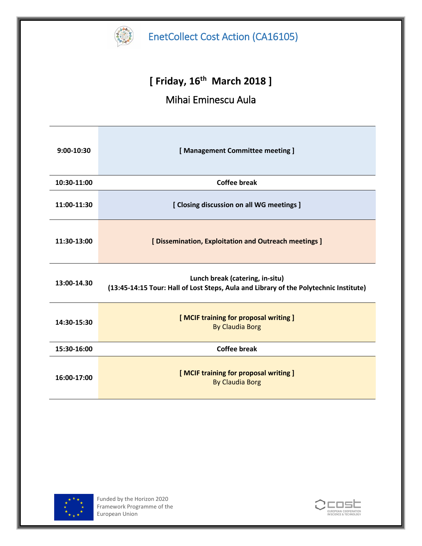

# **[ Friday, 16th March 2018 ]**

### Mihai Eminescu Aula

| 9:00-10:30  | [Management Committee meeting]                                                                                           |  |
|-------------|--------------------------------------------------------------------------------------------------------------------------|--|
| 10:30-11:00 | <b>Coffee break</b>                                                                                                      |  |
| 11:00-11:30 | [ Closing discussion on all WG meetings ]                                                                                |  |
| 11:30-13:00 | [ Dissemination, Exploitation and Outreach meetings ]                                                                    |  |
| 13:00-14.30 | Lunch break (catering, in-situ)<br>(13:45-14:15 Tour: Hall of Lost Steps, Aula and Library of the Polytechnic Institute) |  |
| 14:30-15:30 | [MCIF training for proposal writing]<br><b>By Claudia Borg</b>                                                           |  |
| 15:30-16:00 | <b>Coffee break</b>                                                                                                      |  |
| 16:00-17:00 | [MCIF training for proposal writing]<br><b>By Claudia Borg</b>                                                           |  |



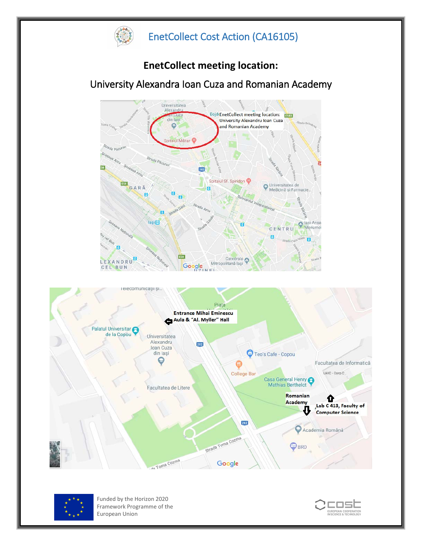

#### **EnetCollect meeting location:**

#### University Alexandra Ioan Cuza and Romanian Academy





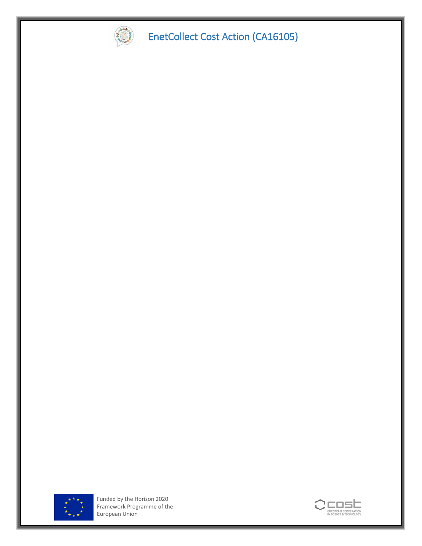



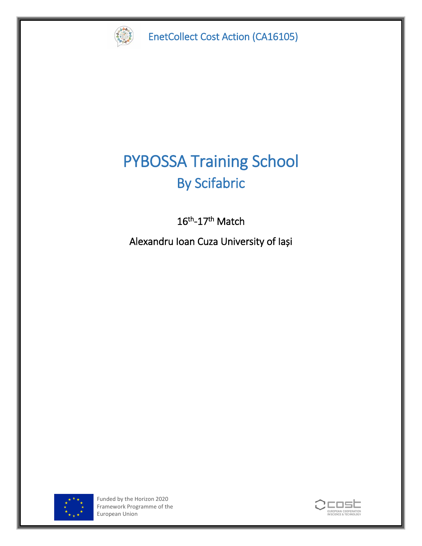

# PYBOSSA Training School By Scifabric

16th-17th Match

Alexandru Ioan Cuza University of Iași